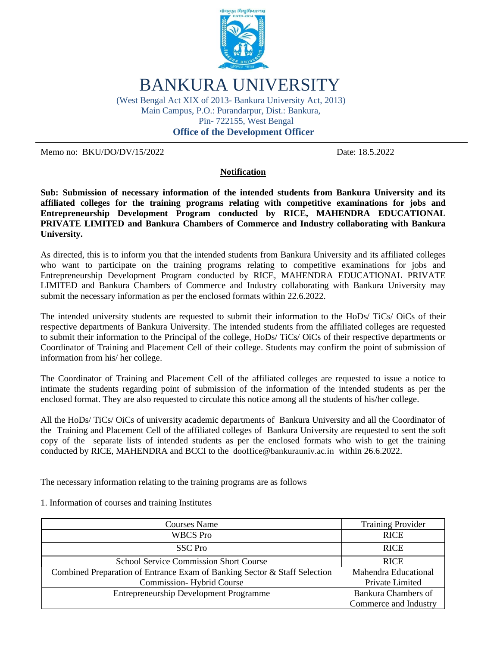

BANKURA UNIVERSITY

(West Bengal Act XIX of 2013- Bankura University Act, 2013) Main Campus, P.O.: Purandarpur, Dist.: Bankura, Pin- 722155, West Bengal

 **Office of the Development Officer**

Memo no: BKU/DO/DV/15/2022 Date: 18.5.2022

### **Notification**

**Sub: Submission of necessary information of the intended students from Bankura University and its affiliated colleges for the training programs relating with competitive examinations for jobs and Entrepreneurship Development Program conducted by RICE, MAHENDRA EDUCATIONAL PRIVATE LIMITED and Bankura Chambers of Commerce and Industry collaborating with Bankura University.**

As directed, this is to inform you that the intended students from Bankura University and its affiliated colleges who want to participate on the training programs relating to competitive examinations for jobs and Entrepreneurship Development Program conducted by RICE, MAHENDRA EDUCATIONAL PRIVATE LIMITED and Bankura Chambers of Commerce and Industry collaborating with Bankura University may submit the necessary information as per the enclosed formats within 22.6.2022.

The intended university students are requested to submit their information to the HoDs/ TiCs/ OiCs of their respective departments of Bankura University. The intended students from the affiliated colleges are requested to submit their information to the Principal of the college, HoDs/ TiCs/ OiCs of their respective departments or Coordinator of Training and Placement Cell of their college. Students may confirm the point of submission of information from his/ her college.

The Coordinator of Training and Placement Cell of the affiliated colleges are requested to issue a notice to intimate the students regarding point of submission of the information of the intended students as per the enclosed format. They are also requested to circulate this notice among all the students of his/her college.

All the HoDs/ TiCs/ OiCs of university academic departments of Bankura University and all the Coordinator of the Training and Placement Cell of the affiliated colleges of Bankura University are requested to sent the soft copy of the separate lists of intended students as per the enclosed formats who wish to get the training conducted by RICE, MAHENDRA and BCCI to the dooffice@bankurauniv.ac.in within 26.6.2022.

The necessary information relating to the training programs are as follows

| <b>Courses Name</b>                                                       | <b>Training Provider</b> |
|---------------------------------------------------------------------------|--------------------------|
| <b>WBCS</b> Pro                                                           | <b>RICE</b>              |
| SSC Pro                                                                   | <b>RICE</b>              |
| <b>School Service Commission Short Course</b>                             | <b>RICE</b>              |
| Combined Preparation of Entrance Exam of Banking Sector & Staff Selection | Mahendra Educational     |
| <b>Commission-Hybrid Course</b>                                           | Private Limited          |
| <b>Entrepreneurship Development Programme</b>                             | Bankura Chambers of      |
|                                                                           | Commerce and Industry    |

1. Information of courses and training Institutes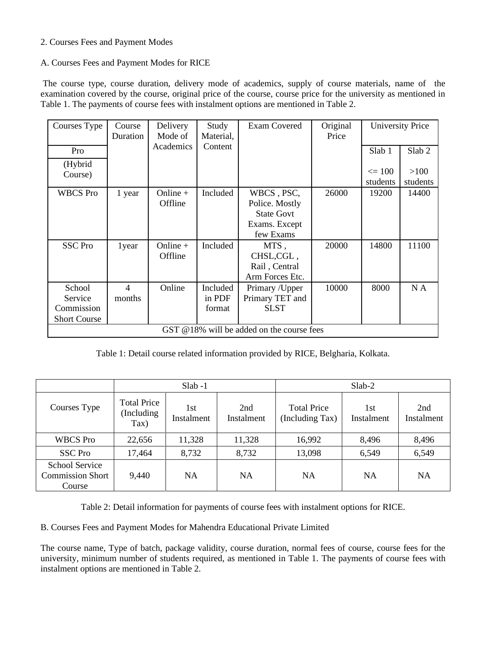### 2. Courses Fees and Payment Modes

### A. Courses Fees and Payment Modes for RICE

The course type, course duration, delivery mode of academics, supply of course materials, name of the examination covered by the course, original price of the course, course price for the university as mentioned in Table 1. The payments of course fees with instalment options are mentioned in Table 2.

| Courses Type                                           | Course<br>Duration                           | Delivery<br>Mode of   | Study<br>Material,           | <b>Exam Covered</b>                                                             | Original<br>Price |                        | <b>University Price</b> |  |  |  |  |  |
|--------------------------------------------------------|----------------------------------------------|-----------------------|------------------------------|---------------------------------------------------------------------------------|-------------------|------------------------|-------------------------|--|--|--|--|--|
| Pro                                                    |                                              | Academics             | Content                      |                                                                                 |                   | Slab <sub>1</sub>      | Slab <sub>2</sub>       |  |  |  |  |  |
| (Hybrid<br>Course)                                     |                                              |                       |                              |                                                                                 |                   | $\leq 100$<br>students | >100<br>students        |  |  |  |  |  |
| <b>WBCS</b> Pro                                        | 1 year                                       | Online $+$<br>Offline | Included                     | WBCS, PSC,<br>Police. Mostly<br><b>State Govt</b><br>Exams. Except<br>few Exams | 26000             | 19200                  | 14400                   |  |  |  |  |  |
| <b>SSC</b> Pro                                         | 1year                                        | Online $+$<br>Offline | Included                     | MTS,<br>CHSL, CGL,<br>Rail, Central<br>Arm Forces Etc.                          | 20000             | 14800                  | 11100                   |  |  |  |  |  |
| School<br>Service<br>Commission<br><b>Short Course</b> | $\overline{4}$<br>months                     | Online                | Included<br>in PDF<br>format | Primary /Upper<br>Primary TET and<br><b>SLST</b>                                | 10000             | 8000                   | N A                     |  |  |  |  |  |
|                                                        | GST $@18\%$ will be added on the course fees |                       |                              |                                                                                 |                   |                        |                         |  |  |  |  |  |

Table 1: Detail course related information provided by RICE, Belgharia, Kolkata.

|                                                            |                                           | $Slab -1$         |                   | $Slab-2$                              |                   |                   |  |
|------------------------------------------------------------|-------------------------------------------|-------------------|-------------------|---------------------------------------|-------------------|-------------------|--|
| Courses Type                                               | <b>Total Price</b><br>(Including)<br>Tax) | 1st<br>Instalment | 2nd<br>Instalment | <b>Total Price</b><br>(Including Tax) | 1st<br>Instalment | 2nd<br>Instalment |  |
| <b>WBCS</b> Pro                                            | 22,656                                    | 11,328            | 11,328            | 16,992                                | 8,496             | 8,496             |  |
| <b>SSC Pro</b>                                             | 17,464                                    | 8,732             | 8,732             | 13,098                                | 6,549             | 6,549             |  |
| <b>School Service</b><br><b>Commission Short</b><br>Course | 9,440                                     | NA                | NA                | <b>NA</b>                             | <b>NA</b>         | NA                |  |

Table 2: Detail information for payments of course fees with instalment options for RICE.

B. Courses Fees and Payment Modes for Mahendra Educational Private Limited

The course name, Type of batch, package validity, course duration, normal fees of course, course fees for the university, minimum number of students required, as mentioned in Table 1. The payments of course fees with instalment options are mentioned in Table 2.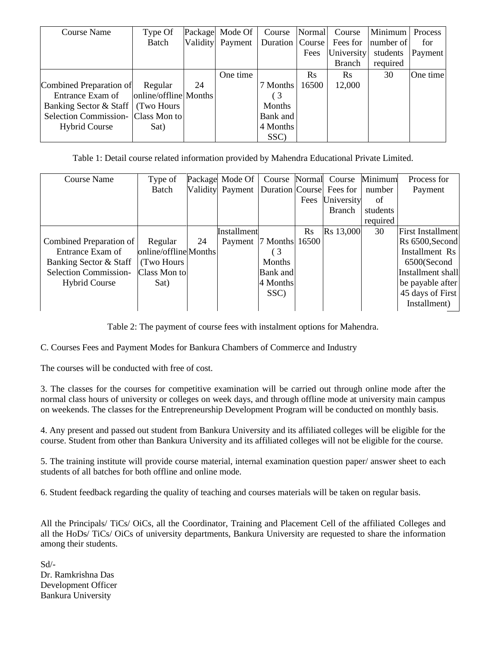| Course Name                         | Type Of               |    | Package Mode Of  | Course          | Normal   | Course        | Minimum   | Process  |
|-------------------------------------|-----------------------|----|------------------|-----------------|----------|---------------|-----------|----------|
|                                     | Batch                 |    | Validity Payment | Duration Course |          | Fees for      | number of | for      |
|                                     |                       |    |                  |                 | Fees     | University    | students  | Payment  |
|                                     |                       |    |                  |                 |          | <b>Branch</b> | required  |          |
|                                     |                       |    | One time         |                 | $\rm Rs$ | <b>R</b> s    | 30        | One time |
| Combined Preparation of             | Regular               | 24 |                  | 7 Months        | 16500    | 12,000        |           |          |
| Entrance Exam of                    | online/offline Months |    |                  | (3              |          |               |           |          |
| Banking Sector & Staff              | (Two Hours)           |    |                  | <b>Months</b>   |          |               |           |          |
| Selection Commission - Class Mon to |                       |    |                  | Bank and        |          |               |           |          |
| <b>Hybrid Course</b>                | Sat)                  |    |                  | 4 Months        |          |               |           |          |
|                                     |                       |    |                  | SSC)            |          |               |           |          |

Table 1: Detail course related information provided by Mahendra Educational Private Limited.

| <b>Course Name</b>           | Type of               |    | Package Mode Of                           |                |          | Course Normal Course | Minimum  | Process for              |
|------------------------------|-----------------------|----|-------------------------------------------|----------------|----------|----------------------|----------|--------------------------|
|                              | Batch                 |    | Validity Payment Duration Course Fees for |                |          |                      | number   | Payment                  |
|                              |                       |    |                                           |                | Fees     | University           | of       |                          |
|                              |                       |    |                                           |                |          | <b>Branch</b>        | students |                          |
|                              |                       |    |                                           |                |          |                      | required |                          |
|                              |                       |    | Installment                               |                | $\rm Rs$ | Rs 13,000            | 30       | <b>First Installment</b> |
| Combined Preparation of      | Regular               | 24 | Payment                                   | 7 Months 16500 |          |                      |          | Rs 6500, Second          |
| Entrance Exam of             | online/offline Months |    |                                           | $\frac{3}{2}$  |          |                      |          | Installment Rs           |
| Banking Sector & Staff       | (Two Hours)           |    |                                           | <b>Months</b>  |          |                      |          | 6500(Second              |
| <b>Selection Commission-</b> | Class Mon to          |    |                                           | Bank and       |          |                      |          | Installment shall        |
| <b>Hybrid Course</b>         | Sat)                  |    |                                           | 4 Months       |          |                      |          | be payable after         |
|                              |                       |    |                                           | SSC)           |          |                      |          | 45 days of First         |
|                              |                       |    |                                           |                |          |                      |          | Installment)             |

Table 2: The payment of course fees with instalment options for Mahendra.

C. Courses Fees and Payment Modes for Bankura Chambers of Commerce and Industry

The courses will be conducted with free of cost.

3. The classes for the courses for competitive examination will be carried out through online mode after the normal class hours of university or colleges on week days, and through offline mode at university main campus on weekends. The classes for the Entrepreneurship Development Program will be conducted on monthly basis.

4. Any present and passed out student from Bankura University and its affiliated colleges will be eligible for the course. Student from other than Bankura University and its affiliated colleges will not be eligible for the course.

5. The training institute will provide course material, internal examination question paper/ answer sheet to each students of all batches for both offline and online mode.

6. Student feedback regarding the quality of teaching and courses materials will be taken on regular basis.

All the Principals/ TiCs/ OiCs, all the Coordinator, Training and Placement Cell of the affiliated Colleges and all the HoDs/ TiCs/ OiCs of university departments, Bankura University are requested to share the information among their students.

Sd/- Dr. Ramkrishna Das Development Officer Bankura University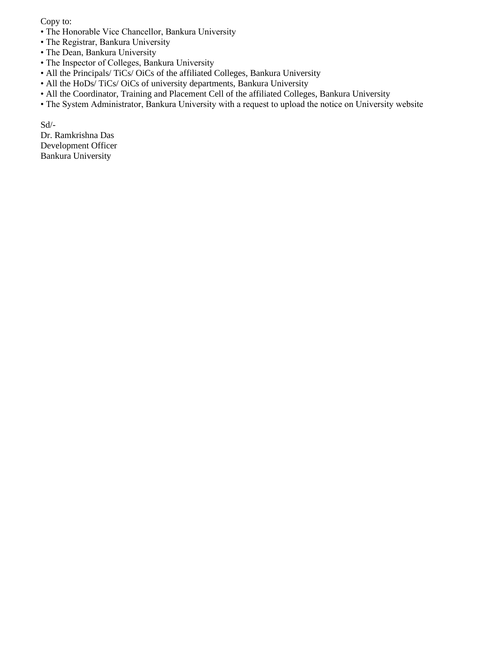Copy to:

- The Honorable Vice Chancellor, Bankura University
- The Registrar, Bankura University
- The Dean, Bankura University
- The Inspector of Colleges, Bankura University
- All the Principals/ TiCs/ OiCs of the affiliated Colleges, Bankura University
- All the HoDs/ TiCs/ OiCs of university departments, Bankura University
- All the Coordinator, Training and Placement Cell of the affiliated Colleges, Bankura University
- The System Administrator, Bankura University with a request to upload the notice on University website

Sd/- Dr. Ramkrishna Das Development Officer Bankura University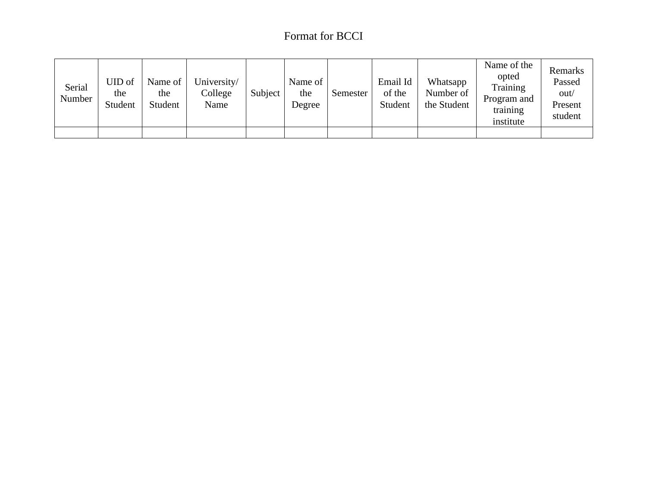# Format for BCCI

| Serial<br>Number | UID of<br>the<br>Student | Name of<br>the<br>Student | University/<br>College<br>Name | Subject | Name of<br>the<br>Degree | Semester | Email Id<br>of the<br>Student | Whatsapp<br>Number of<br>the Student | Name of the<br>opted<br>Training<br>Program and<br>training<br>institute | Remarks<br>Passed<br>out/<br>Present<br>student |
|------------------|--------------------------|---------------------------|--------------------------------|---------|--------------------------|----------|-------------------------------|--------------------------------------|--------------------------------------------------------------------------|-------------------------------------------------|
|                  |                          |                           |                                |         |                          |          |                               |                                      |                                                                          |                                                 |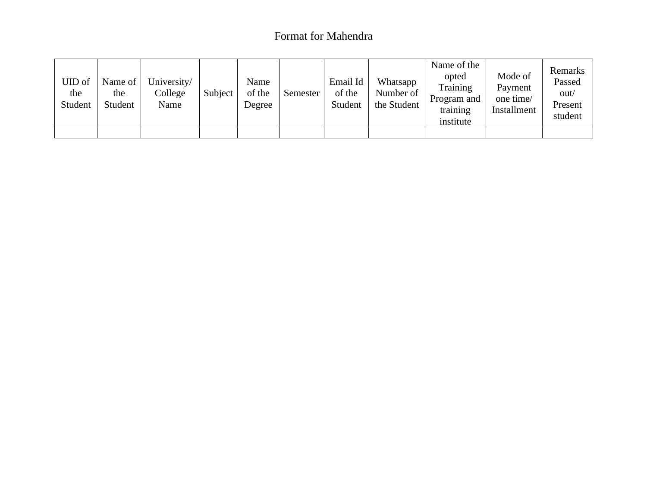### Format for Mahendra

| UID of<br>the<br>Student | Name of<br>the<br>Student | University/<br>College<br>Name | Subject | Name<br>of the<br>Degree | Semester | Email Id<br>of the<br>Student | Whatsapp<br>Number of<br>the Student | Name of the<br>opted<br>Training<br>Program and<br>training<br>institute | Mode of<br>Payment<br>one time/<br>Installment | Remarks<br>Passed<br>out/<br>Present<br>student |
|--------------------------|---------------------------|--------------------------------|---------|--------------------------|----------|-------------------------------|--------------------------------------|--------------------------------------------------------------------------|------------------------------------------------|-------------------------------------------------|
|                          |                           |                                |         |                          |          |                               |                                      |                                                                          |                                                |                                                 |